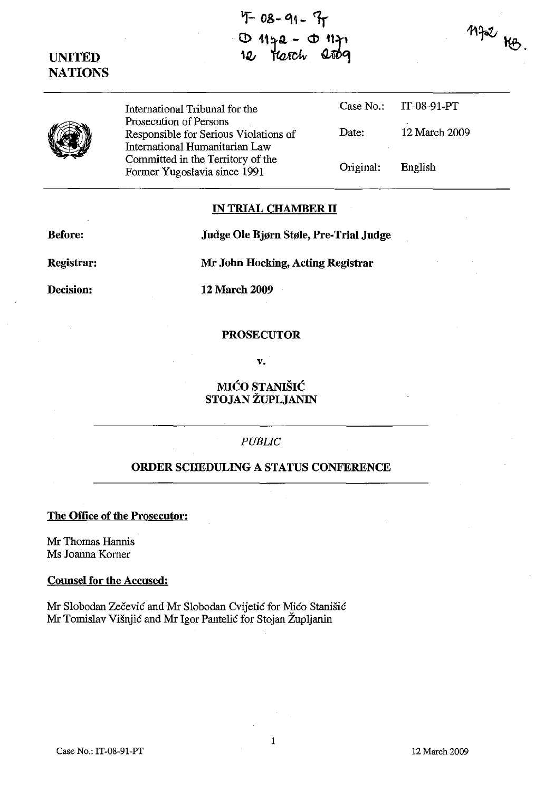# **'F 08-91- ዥ**  $\mathbf D$ Harch



International Tribunal for the Prosecution of Persons Case No.: IT-08-91-PT Responsible for Serious Violations of International Humanitarian Law Committed in the Territory of the Former Yugoslavia since 1991 Date: 12 March 2009 Original: English

### **IN TRIAL CHAMBER II**

**Before:** 

**Judge Ole Bjørn Støle, Pre-Trial Judge** 

**Registrar:** 

**Decision:** 

**Mr John Hocking, Acting Registrar** 

**12 March 2009** 

### **PROSECUTOR**

v.

MH~O **STANISIC STOJAN ZUPLJANIN** 

## *PUBLIC*

## **ORDER SCHEDULING A STATUS CONFERENCE**

**The Office of the Prosecutor:** 

Mr Thomas Hannis Ms Joanna Komer

#### **Counsel for the Accused:**

Mr Slobodan Zecevic and Mr Slobodan Cvijetic for Mico Stanisic Mr Tomislav Visnjic and Mr Igor Pantelic for Stojan Zupljanin

 $M$  $R$